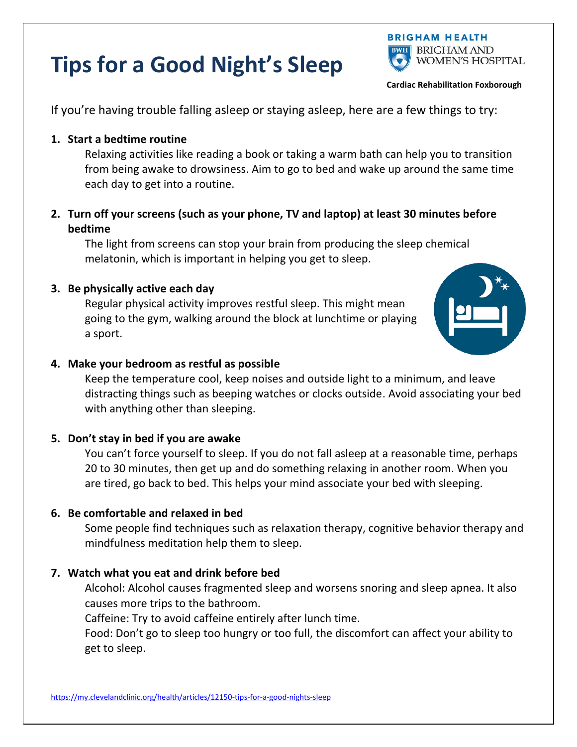## **Tips for a Good Night's Sleep**



**Cardiac Rehabilitation Foxborough**

If you're having trouble falling asleep or staying asleep, here are a few things to try:

## **1. Start a bedtime routine**

Relaxing activities like reading a book or taking a warm bath can help you to transition from being awake to drowsiness. Aim to go to bed and wake up around the same time each day to get into a routine.

**2. Turn off your screens (such as your phone, TV and laptop) at least 30 minutes before bedtime**

The light from screens can stop your brain from producing the sleep chemical melatonin, which is important in helping you get to sleep.

### **3. Be physically active each day**

Regular physical activity improves restful sleep. This might mean going to the gym, walking around the block at lunchtime or playing a sport.



#### **4. Make your bedroom as restful as possible**

Keep the temperature cool, keep noises and outside light to a minimum, and leave distracting things such as beeping watches or clocks outside. Avoid associating your bed with anything other than sleeping.

### **5. Don't stay in bed if you are awake**

You can't force yourself to sleep. If you do not fall asleep at a reasonable time, perhaps 20 to 30 minutes, then get up and do something relaxing in another room. When you are tired, go back to bed. This helps your mind associate your bed with sleeping.

### **6. Be comfortable and relaxed in bed**

Some people find techniques such as relaxation therapy, cognitive behavior therapy and mindfulness meditation help them to sleep.

### **7. Watch what you eat and drink before bed**

Alcohol: Alcohol causes fragmented sleep and worsens snoring and sleep apnea. It also causes more trips to the bathroom.

Caffeine: Try to avoid caffeine entirely after lunch time.

Food: Don't go to sleep too hungry or too full, the discomfort can affect your ability to get to sleep.